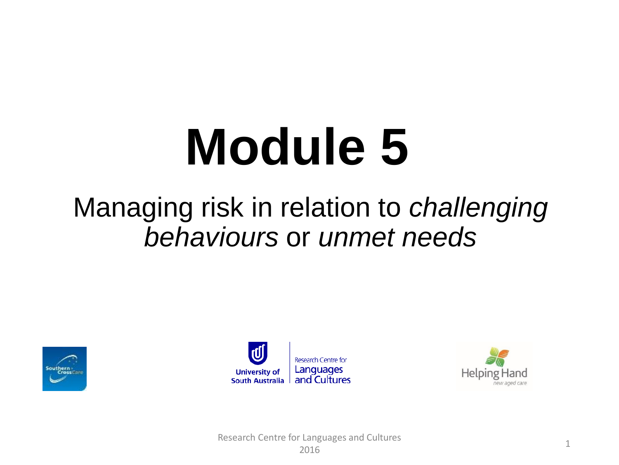# **Module 5**

#### Managing risk in relation to *challenging behaviours* or *unmet needs*





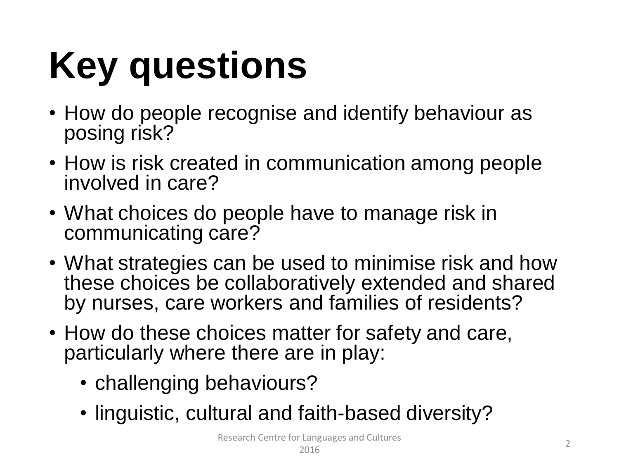# **Key questions**

- How do people recognise and identify behaviour as posing risk?
- How is risk created in communication among people involved in care?
- What choices do people have to manage risk in communicating care?
- What strategies can be used to minimise risk and how these choices be collaboratively extended and shared by nurses, care workers and families of residents?
- How do these choices matter for safety and care, particularly where there are in play:
	- challenging behaviours?
	- linguistic, cultural and faith-based diversity?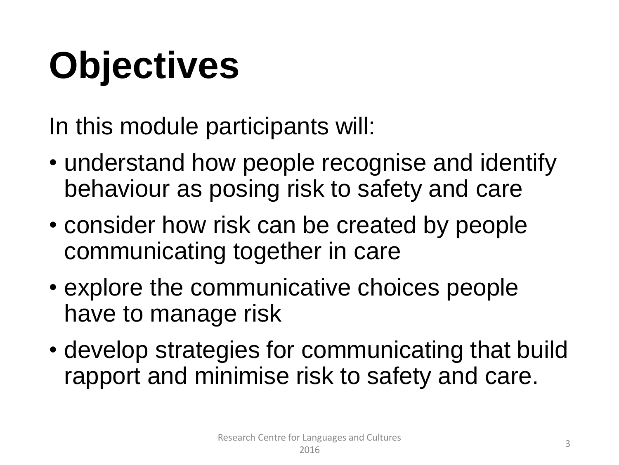### **Objectives**

In this module participants will:

- understand how people recognise and identify behaviour as posing risk to safety and care
- consider how risk can be created by people communicating together in care
- explore the communicative choices people have to manage risk
- develop strategies for communicating that build rapport and minimise risk to safety and care.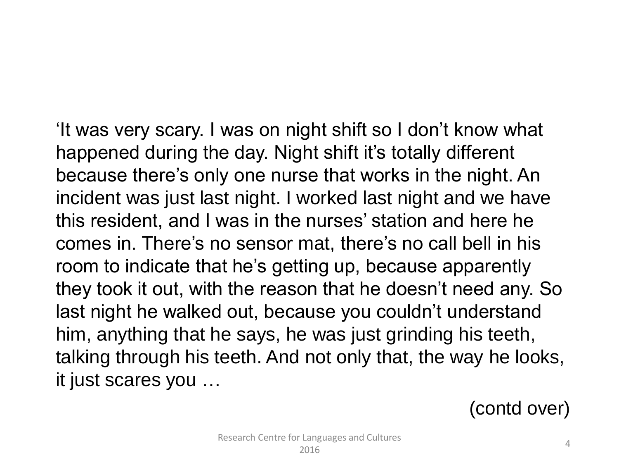'It was very scary. I was on night shift so I don't know what happened during the day. Night shift it's totally different because there's only one nurse that works in the night. An incident was just last night. I worked last night and we have this resident, and I was in the nurses' station and here he comes in. There's no sensor mat, there's no call bell in his room to indicate that he's getting up, because apparently they took it out, with the reason that he doesn't need any. So last night he walked out, because you couldn't understand him, anything that he says, he was just grinding his teeth, talking through his teeth. And not only that, the way he looks, it just scares you …

(contd over)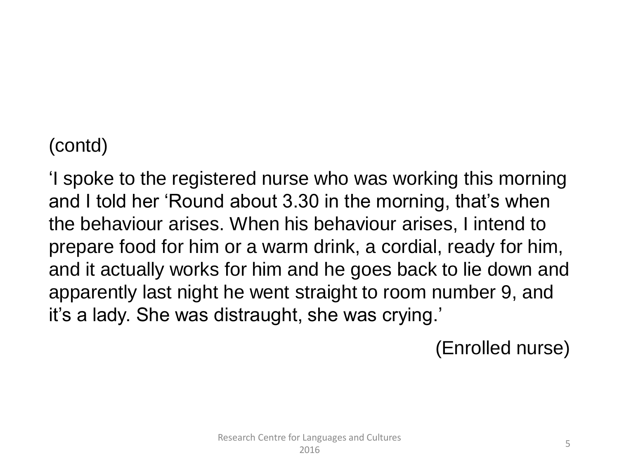#### (contd)

'I spoke to the registered nurse who was working this morning and I told her 'Round about 3.30 in the morning, that's when the behaviour arises. When his behaviour arises, I intend to prepare food for him or a warm drink, a cordial, ready for him, and it actually works for him and he goes back to lie down and apparently last night he went straight to room number 9, and it's a lady. She was distraught, she was crying.'

(Enrolled nurse)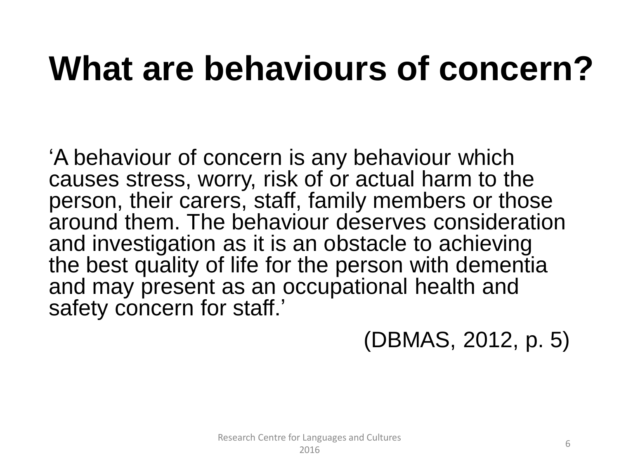### **What are behaviours of concern?**

'A behaviour of concern is any behaviour which causes stress, worry, risk of or actual harm to the person, their carers, staff, family members or those around them. The behaviour deserves consideration and investigation as it is an obstacle to achieving the best quality of life for the person with dementia and may present as an occupational health and safety concern for staff.'

(DBMAS, 2012, p. 5)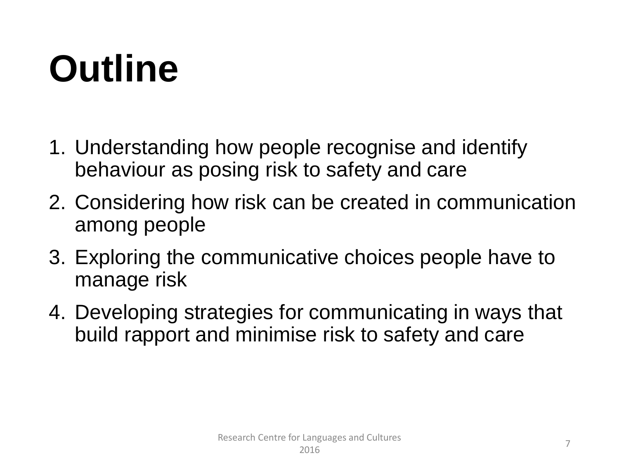### **Outline**

- 1. Understanding how people recognise and identify behaviour as posing risk to safety and care
- 2. Considering how risk can be created in communication among people
- 3. Exploring the communicative choices people have to manage risk
- 4. Developing strategies for communicating in ways that build rapport and minimise risk to safety and care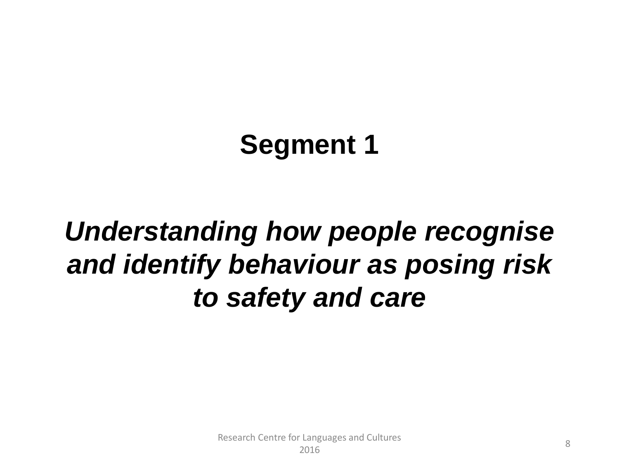### **Segment 1**

### *Understanding how people recognise and identify behaviour as posing risk to safety and care*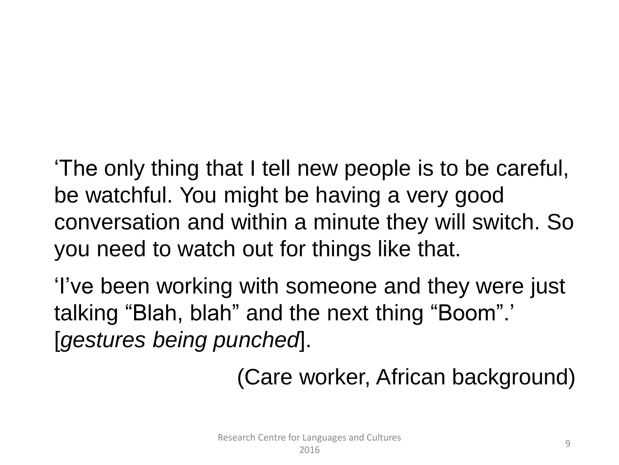'The only thing that I tell new people is to be careful, be watchful. You might be having a very good conversation and within a minute they will switch. So you need to watch out for things like that.

'I've been working with someone and they were just talking "Blah, blah" and the next thing "Boom".' [*gestures being punched*].

(Care worker, African background)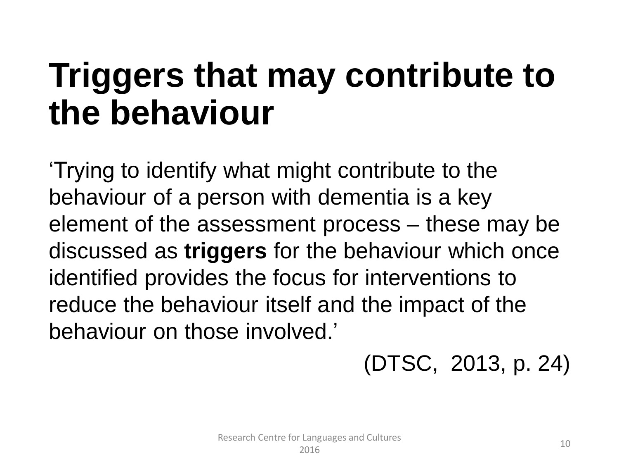### **Triggers that may contribute to the behaviour**

'Trying to identify what might contribute to the behaviour of a person with dementia is a key element of the assessment process – these may be discussed as **triggers** for the behaviour which once identified provides the focus for interventions to reduce the behaviour itself and the impact of the behaviour on those involved.'

#### (DTSC, 2013, p. 24)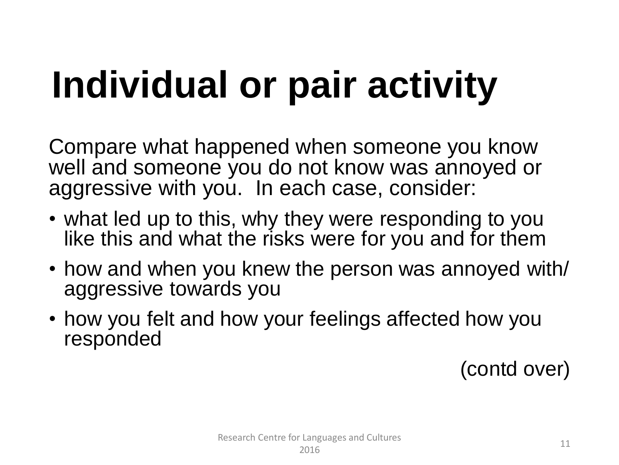### **Individual or pair activity**

Compare what happened when someone you know well and someone you do not know was annoyed or aggressive with you. In each case, consider:

- what led up to this, why they were responding to you like this and what the risks were for you and for them
- how and when you knew the person was annoyed with/ aggressive towards you
- how you felt and how your feelings affected how you responded

(contd over)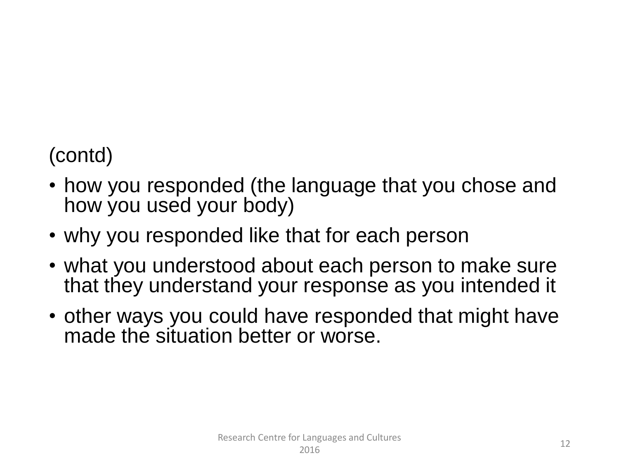#### (contd)

- how you responded (the language that you chose and how you used your body)
- why you responded like that for each person
- what you understood about each person to make sure that they understand your response as you intended it
- other ways you could have responded that might have made the situation better or worse.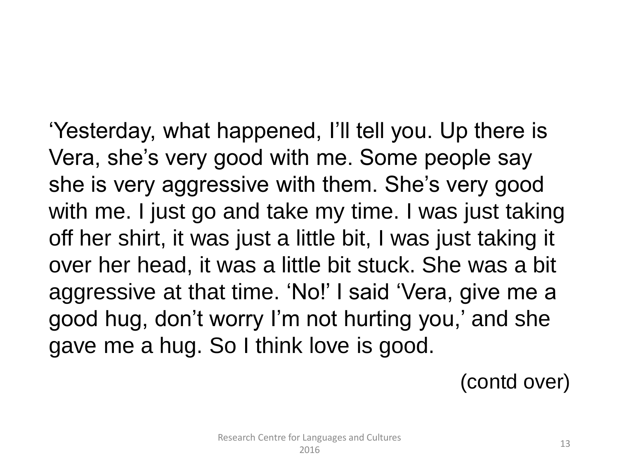'Yesterday, what happened, I'll tell you. Up there is Vera, she's very good with me. Some people say she is very aggressive with them. She's very good with me. I just go and take my time. I was just taking off her shirt, it was just a little bit, I was just taking it over her head, it was a little bit stuck. She was a bit aggressive at that time. 'No!' I said 'Vera, give me a good hug, don't worry I'm not hurting you,' and she gave me a hug. So I think love is good.

(contd over)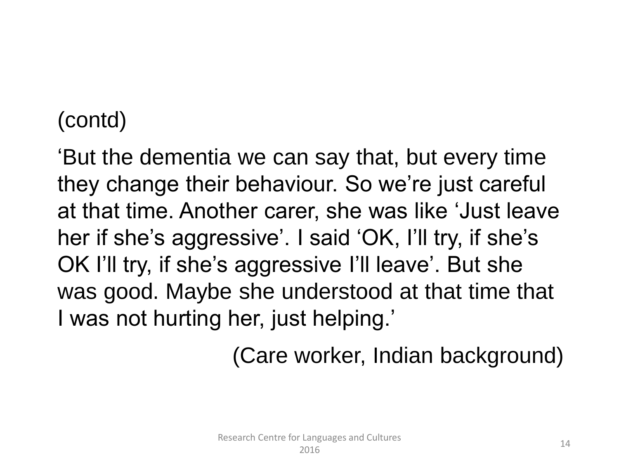#### (contd)

'But the dementia we can say that, but every time they change their behaviour. So we're just careful at that time. Another carer, she was like 'Just leave her if she's aggressive'. I said 'OK, I'll try, if she's OK I'll try, if she's aggressive I'll leave'. But she was good. Maybe she understood at that time that I was not hurting her, just helping.'

(Care worker, Indian background)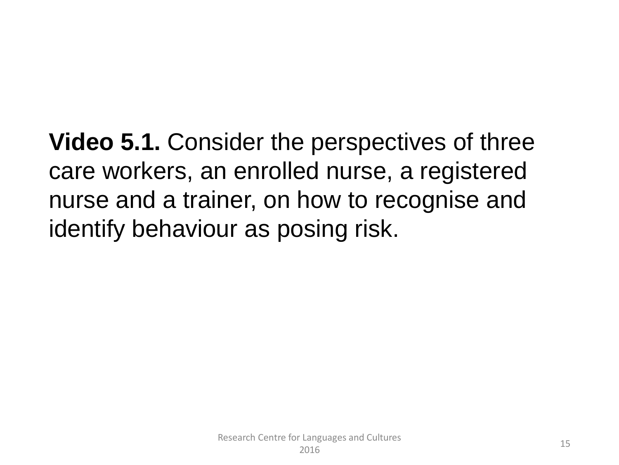**Video 5.1.** Consider the perspectives of three care workers, an enrolled nurse, a registered nurse and a trainer, on how to recognise and identify behaviour as posing risk.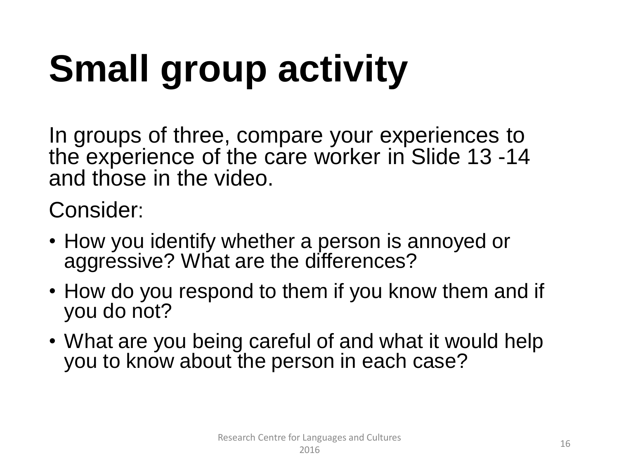# **Small group activity**

In groups of three, compare your experiences to the experience of the care worker in Slide 13 -14 and those in the video.

Consider:

- How you identify whether a person is annoyed or aggressive? What are the differences?
- How do you respond to them if you know them and if you do not?
- What are you being careful of and what it would help you to know about the person in each case?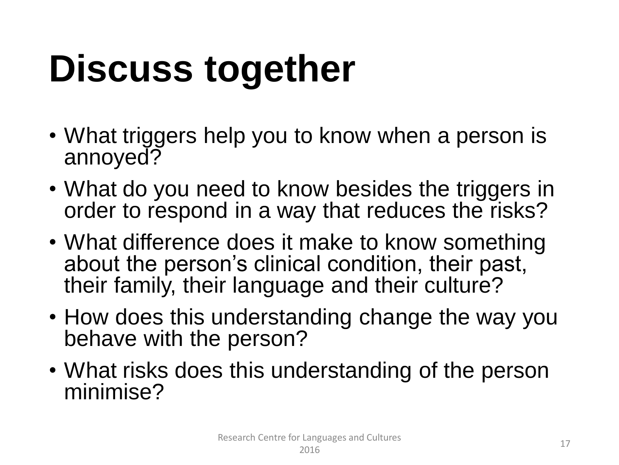### **Discuss together**

- What triggers help you to know when a person is annoyed?
- What do you need to know besides the triggers in order to respond in a way that reduces the risks?
- What difference does it make to know something about the person's clinical condition, their past, their family, their language and their culture?
- How does this understanding change the way you behave with the person?
- What risks does this understanding of the person minimise?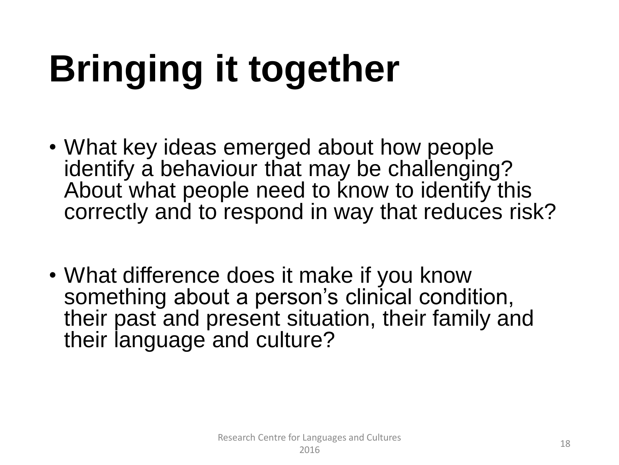# **Bringing it together**

- What key ideas emerged about how people identify a behaviour that may be challenging? About what people need to know to identify this correctly and to respond in way that reduces risk?
- What difference does it make if you know something about a person's clinical condition, their past and present situation, their family and their language and culture?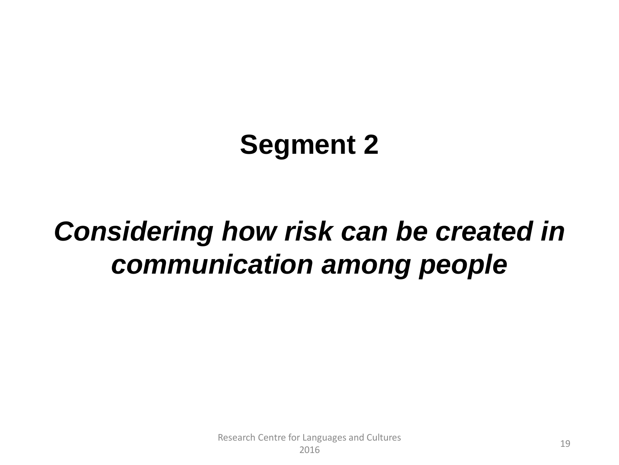#### **Segment 2**

#### *Considering how risk can be created in communication among people*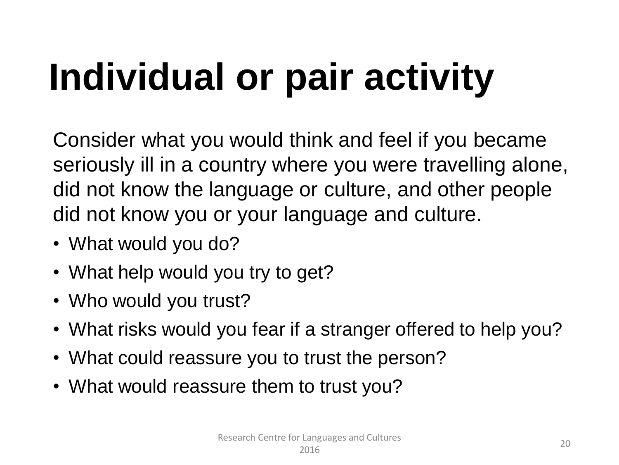## **Individual or pair activity**

Consider what you would think and feel if you became seriously ill in a country where you were travelling alone, did not know the language or culture, and other people did not know you or your language and culture.

- What would you do?
- What help would you try to get?
- Who would you trust?
- What risks would you fear if a stranger offered to help you?
- What could reassure you to trust the person?
- What would reassure them to trust you?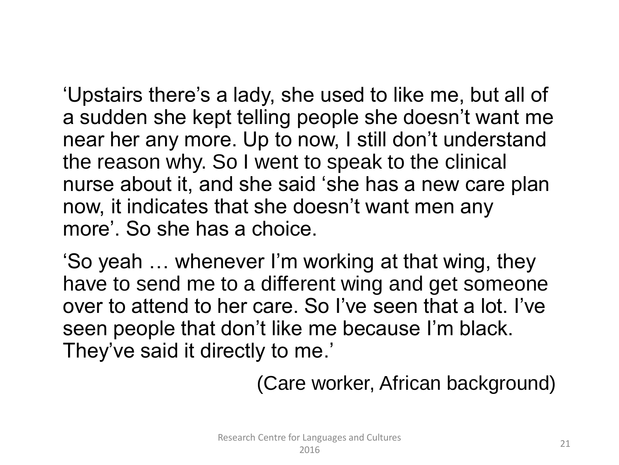'Upstairs there's a lady, she used to like me, but all of a sudden she kept telling people she doesn't want me near her any more. Up to now, I still don't understand the reason why. So I went to speak to the clinical nurse about it, and she said 'she has a new care plan now, it indicates that she doesn't want men any more'. So she has a choice.

'So yeah … whenever I'm working at that wing, they have to send me to a different wing and get someone over to attend to her care. So I've seen that a lot. I've seen people that don't like me because I'm black. They've said it directly to me.'

(Care worker, African background)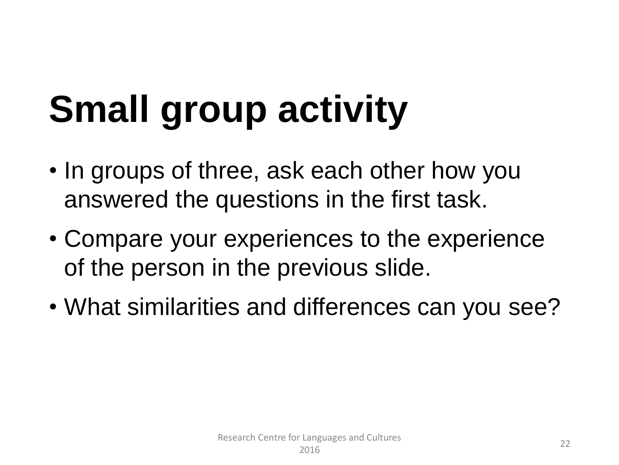### **Small group activity**

- In groups of three, ask each other how you answered the questions in the first task.
- Compare your experiences to the experience of the person in the previous slide.
- What similarities and differences can you see?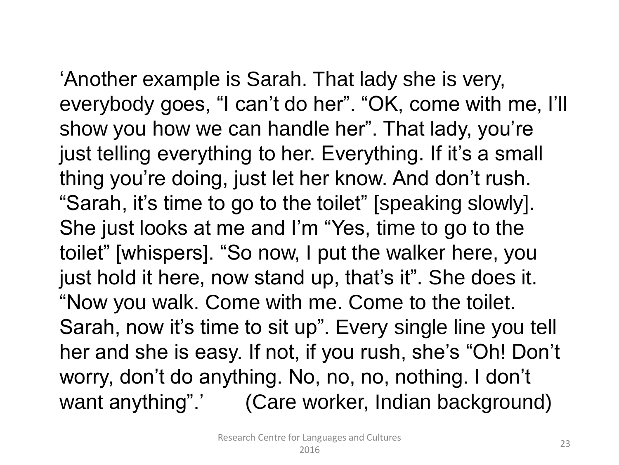'Another example is Sarah. That lady she is very, everybody goes, "I can't do her". "OK, come with me, I'll show you how we can handle her". That lady, you're just telling everything to her. Everything. If it's a small

thing you're doing, just let her know. And don't rush. "Sarah, it's time to go to the toilet" [speaking slowly]. She just looks at me and I'm "Yes, time to go to the toilet" [whispers]. "So now, I put the walker here, you just hold it here, now stand up, that's it". She does it.

"Now you walk. Come with me. Come to the toilet. Sarah, now it's time to sit up". Every single line you tell her and she is easy. If not, if you rush, she's "Oh! Don't worry, don't do anything. No, no, no, nothing. I don't want anything".' (Care worker, Indian background)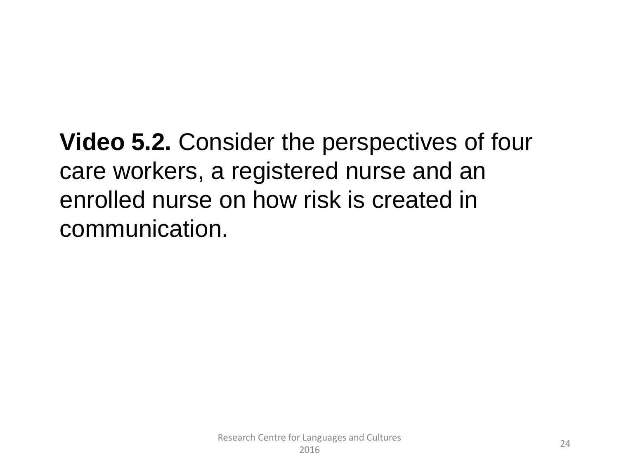**Video 5.2.** Consider the perspectives of four care workers, a registered nurse and an enrolled nurse on how risk is created in communication.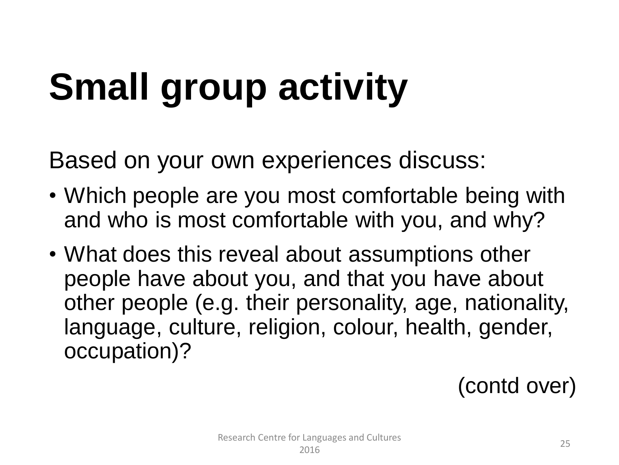### **Small group activity**

Based on your own experiences discuss:

- Which people are you most comfortable being with and who is most comfortable with you, and why?
- What does this reveal about assumptions other people have about you, and that you have about other people (e.g. their personality, age, nationality, language, culture, religion, colour, health, gender, occupation)?

(contd over)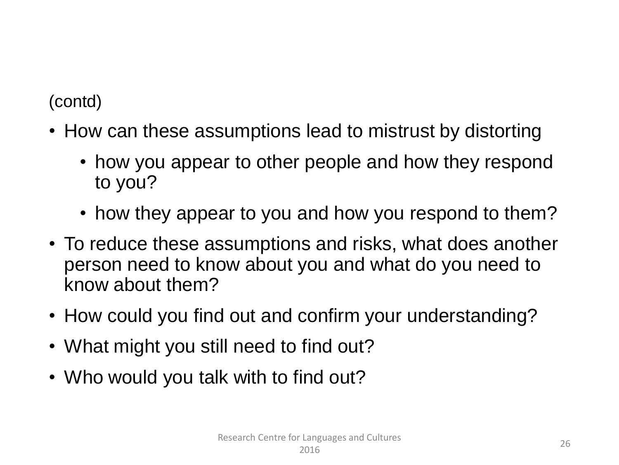(contd)

- How can these assumptions lead to mistrust by distorting
	- how you appear to other people and how they respond to you?
	- how they appear to you and how you respond to them?
- To reduce these assumptions and risks, what does another person need to know about you and what do you need to know about them?
- How could you find out and confirm your understanding?
- What might you still need to find out?
- Who would you talk with to find out?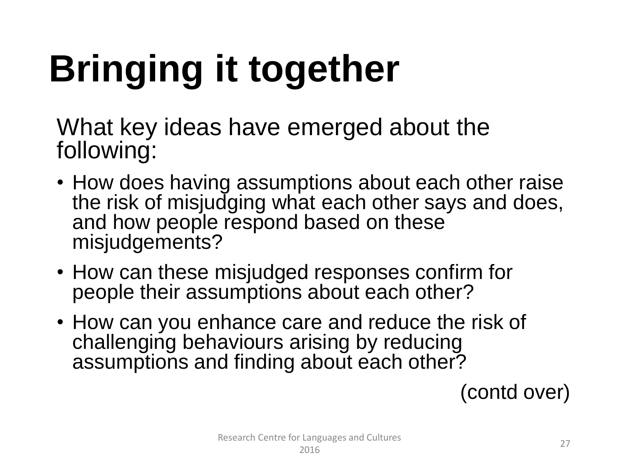# **Bringing it together**

What key ideas have emerged about the following:

- How does having assumptions about each other raise the risk of misjudging what each other says and does, and how people respond based on these misjudgements?
- How can these misjudged responses confirm for people their assumptions about each other?
- How can you enhance care and reduce the risk of challenging behaviours arising by reducing assumptions and finding about each other?

(contd over)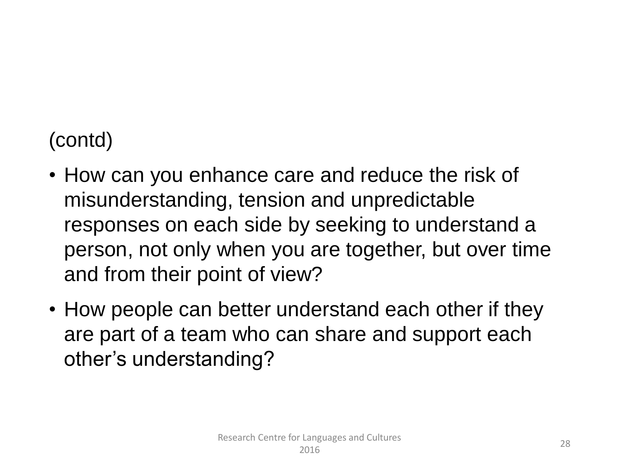#### (contd)

- How can you enhance care and reduce the risk of misunderstanding, tension and unpredictable responses on each side by seeking to understand a person, not only when you are together, but over time and from their point of view?
- How people can better understand each other if they are part of a team who can share and support each other's understanding?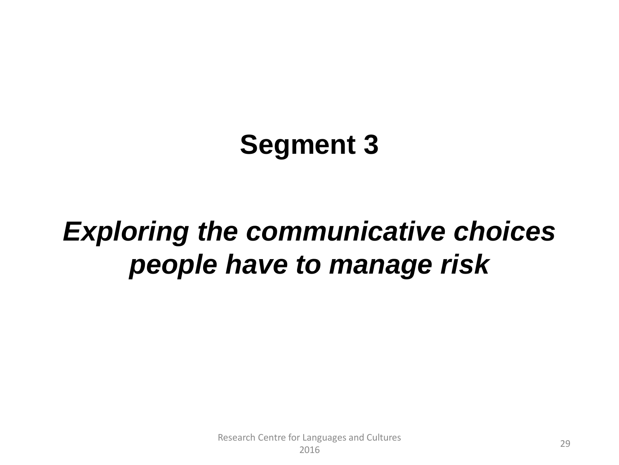#### **Segment 3**

#### *Exploring the communicative choices people have to manage risk*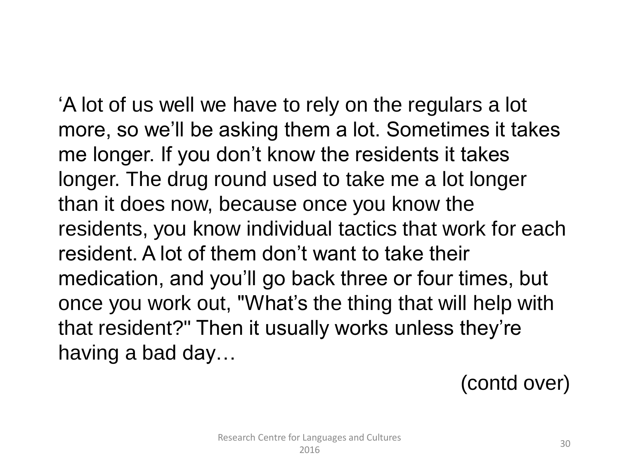'A lot of us well we have to rely on the regulars a lot more, so we'll be asking them a lot. Sometimes it takes me longer. If you don't know the residents it takes longer. The drug round used to take me a lot longer than it does now, because once you know the residents, you know individual tactics that work for each resident. A lot of them don't want to take their medication, and you'll go back three or four times, but once you work out, "What's the thing that will help with that resident?" Then it usually works unless they're having a bad day…

(contd over)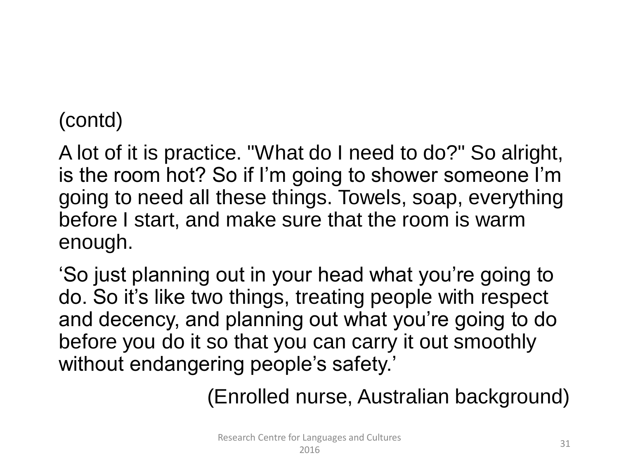#### (contd)

A lot of it is practice. "What do I need to do?" So alright, is the room hot? So if I'm going to shower someone I'm going to need all these things. Towels, soap, everything before I start, and make sure that the room is warm enough.

'So just planning out in your head what you're going to do. So it's like two things, treating people with respect and decency, and planning out what you're going to do before you do it so that you can carry it out smoothly without endangering people's safety.'

(Enrolled nurse, Australian background)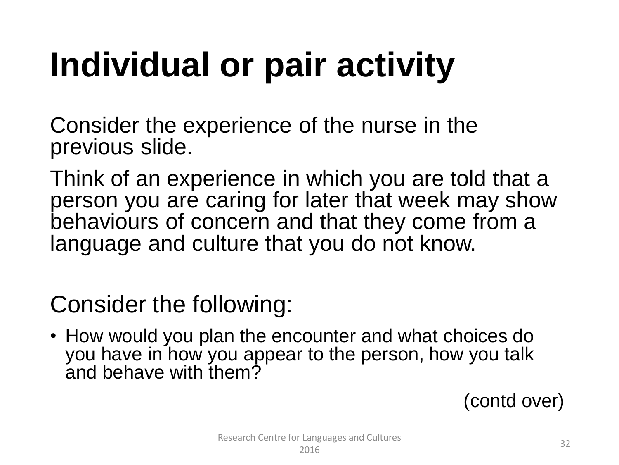### **Individual or pair activity**

Consider the experience of the nurse in the previous slide.

Think of an experience in which you are told that a person you are caring for later that week may show behaviours of concern and that they come from a language and culture that you do not know.

Consider the following:

• How would you plan the encounter and what choices do you have in how you appear to the person, how you talk and behave with them?

(contd over)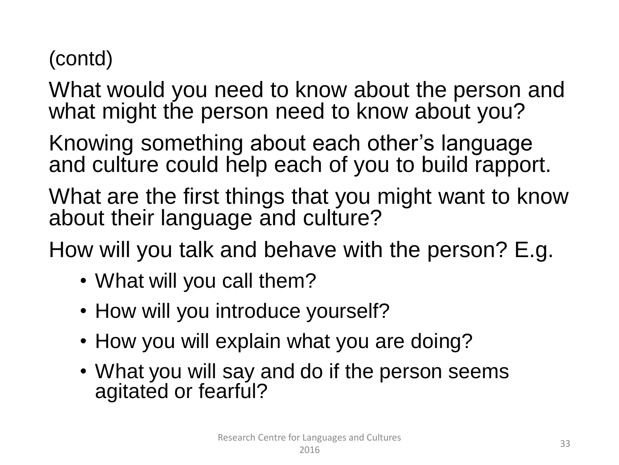#### (contd)

What would you need to know about the person and what might the person need to know about you?

Knowing something about each other's language and culture could help each of you to build rapport.

What are the first things that you might want to know about their language and culture?

How will you talk and behave with the person? E.g.

- What will you call them?
- How will you introduce yourself?
- How you will explain what you are doing?
- What you will say and do if the person seems agitated or fearful?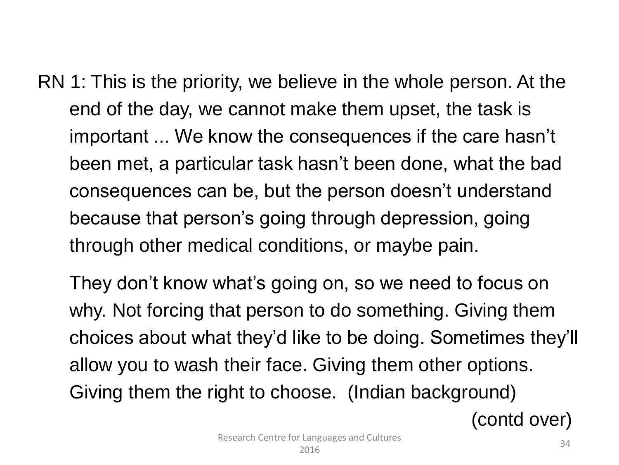RN 1: This is the priority, we believe in the whole person. At the end of the day, we cannot make them upset, the task is important ... We know the consequences if the care hasn't been met, a particular task hasn't been done, what the bad consequences can be, but the person doesn't understand because that person's going through depression, going through other medical conditions, or maybe pain.

They don't know what's going on, so we need to focus on why. Not forcing that person to do something. Giving them choices about what they'd like to be doing. Sometimes they'll allow you to wash their face. Giving them other options. Giving them the right to choose. (Indian background)

(contd over)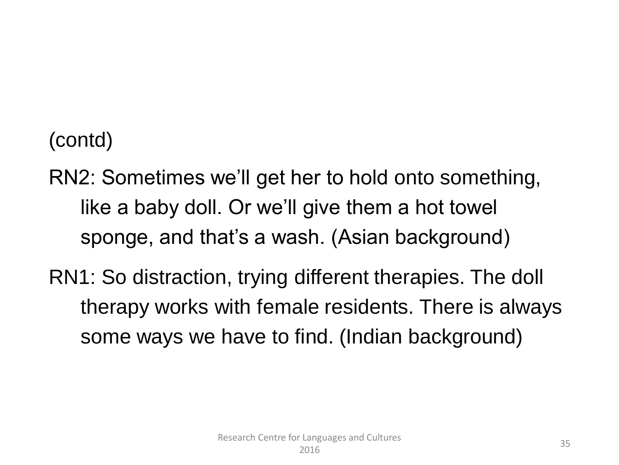(contd)

- RN2: Sometimes we'll get her to hold onto something, like a baby doll. Or we'll give them a hot towel sponge, and that's a wash. (Asian background)
- RN1: So distraction, trying different therapies. The doll therapy works with female residents. There is always some ways we have to find. (Indian background)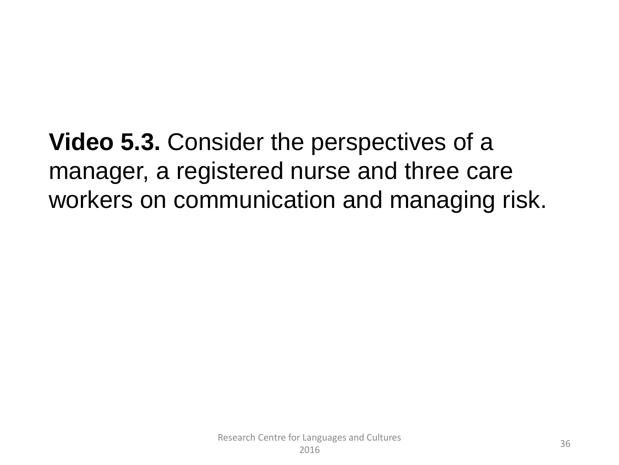**Video 5.3.** Consider the perspectives of a manager, a registered nurse and three care workers on communication and managing risk.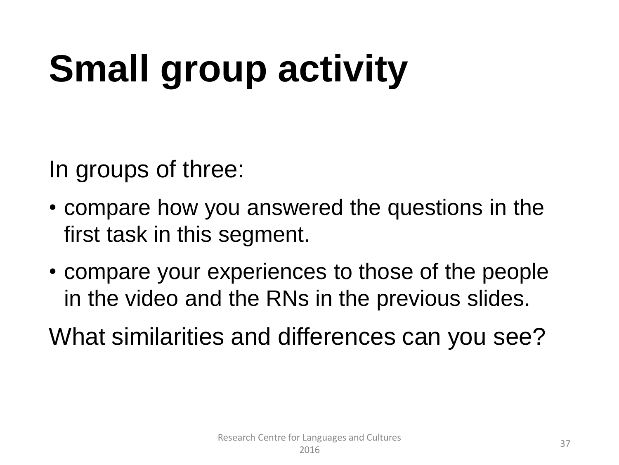### **Small group activity**

In groups of three:

- compare how you answered the questions in the first task in this segment.
- compare your experiences to those of the people in the video and the RNs in the previous slides.

What similarities and differences can you see?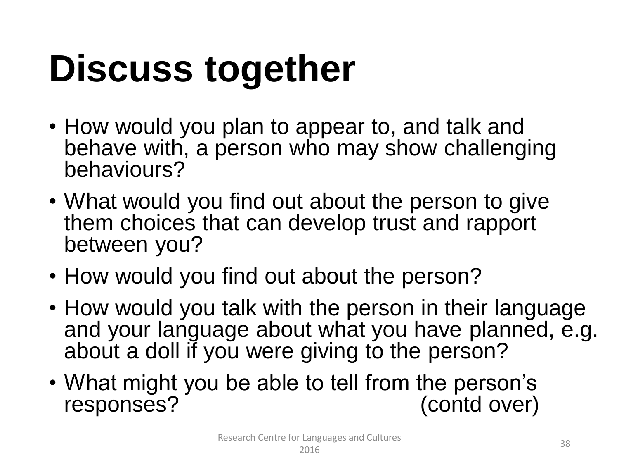### **Discuss together**

- How would you plan to appear to, and talk and behave with, a person who may show challenging behaviours?
- What would you find out about the person to give them choices that can develop trust and rapport between you?
- How would you find out about the person?
- How would you talk with the person in their language and your language about what you have planned, e.g. about a doll if you were giving to the person?
- What might you be able to tell from the person's responses? (contd over)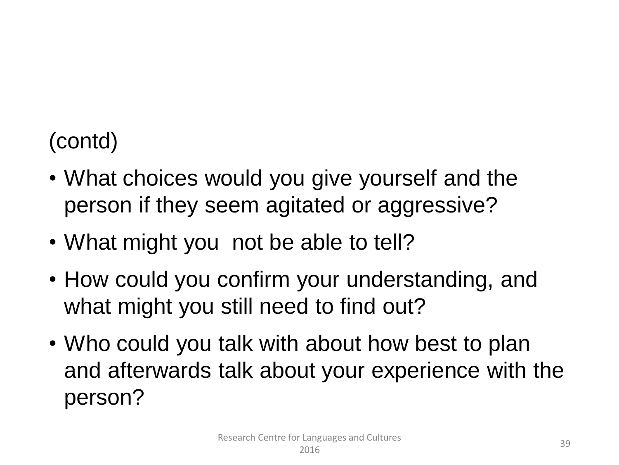#### (contd)

- What choices would you give yourself and the person if they seem agitated or aggressive?
- What might you not be able to tell?
- How could you confirm your understanding, and what might you still need to find out?
- Who could you talk with about how best to plan and afterwards talk about your experience with the person?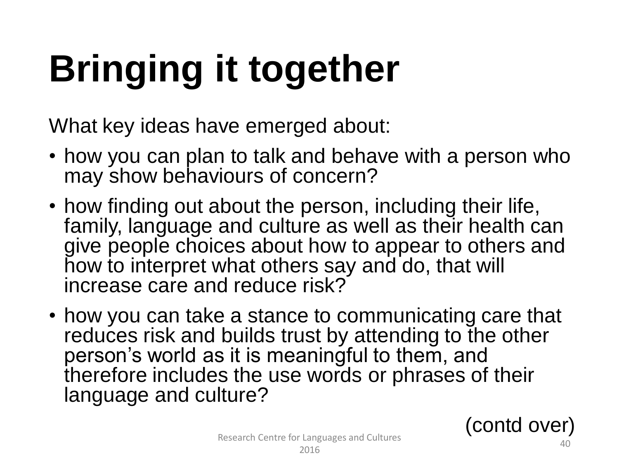# **Bringing it together**

What key ideas have emerged about:

- how you can plan to talk and behave with a person who may show behaviours of concern?
- how finding out about the person, including their life, family, language and culture as well as their health can give people choices about how to appear to others and how to interpret what others say and do, that will increase care and reduce risk?
- how you can take a stance to communicating care that reduces risk and builds trust by attending to the other person's world as it is meaningful to them, and therefore includes the use words or phrases of their language and culture?

(contd over)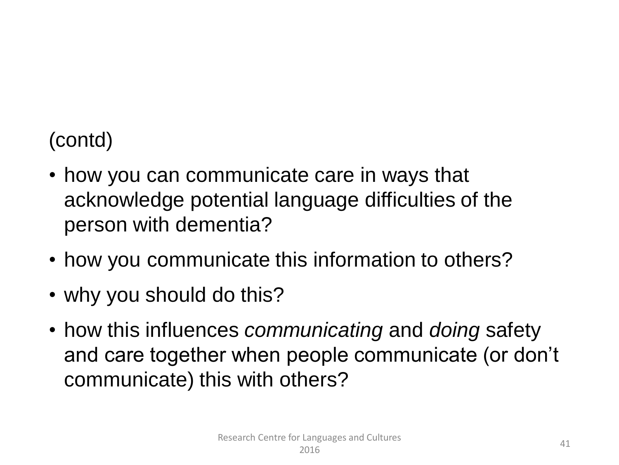#### (contd)

- how you can communicate care in ways that acknowledge potential language difficulties of the person with dementia?
- how you communicate this information to others?
- why you should do this?
- how this influences *communicating* and *doing* safety and care together when people communicate (or don't communicate) this with others?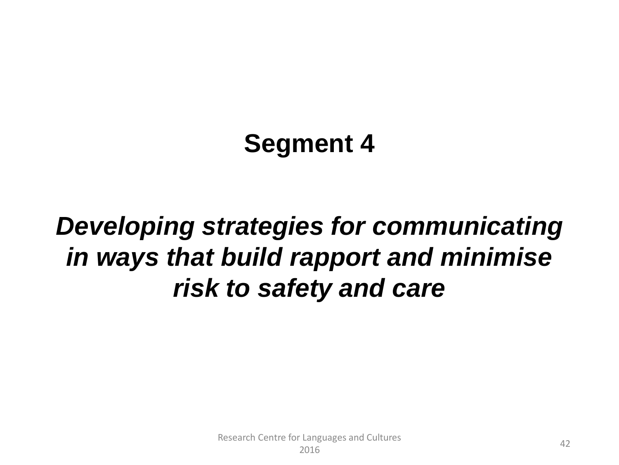#### **Segment 4**

#### *Developing strategies for communicating in ways that build rapport and minimise risk to safety and care*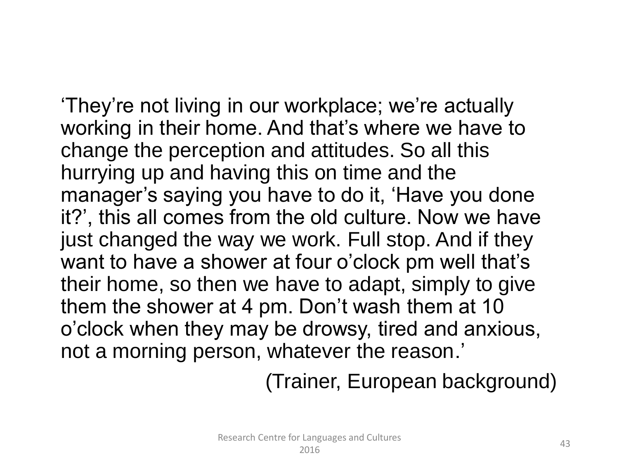'They're not living in our workplace; we're actually working in their home. And that's where we have to change the perception and attitudes. So all this hurrying up and having this on time and the manager's saying you have to do it, 'Have you done it?', this all comes from the old culture. Now we have just changed the way we work. Full stop. And if they want to have a shower at four o'clock pm well that's their home, so then we have to adapt, simply to give them the shower at 4 pm. Don't wash them at 10 o'clock when they may be drowsy, tired and anxious, not a morning person, whatever the reason.'

(Trainer, European background)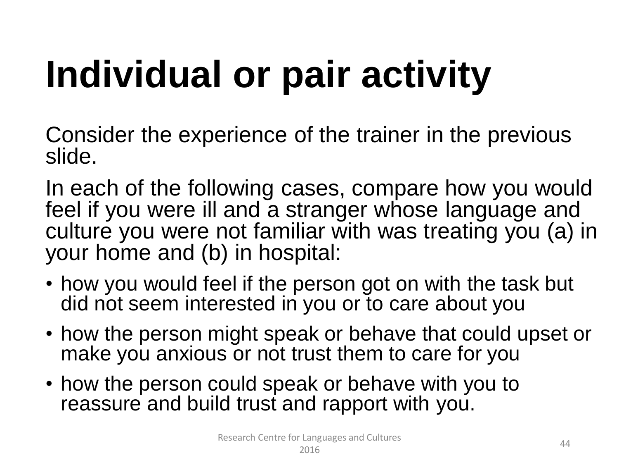# **Individual or pair activity**

Consider the experience of the trainer in the previous slide.

In each of the following cases, compare how you would feel if you were ill and a stranger whose language and culture you were not familiar with was treating you (a) in your home and (b) in hospital:

- how you would feel if the person got on with the task but did not seem interested in you or to care about you
- how the person might speak or behave that could upset or make you anxious or not trust them to care for you
- how the person could speak or behave with you to reassure and build trust and rapport with you.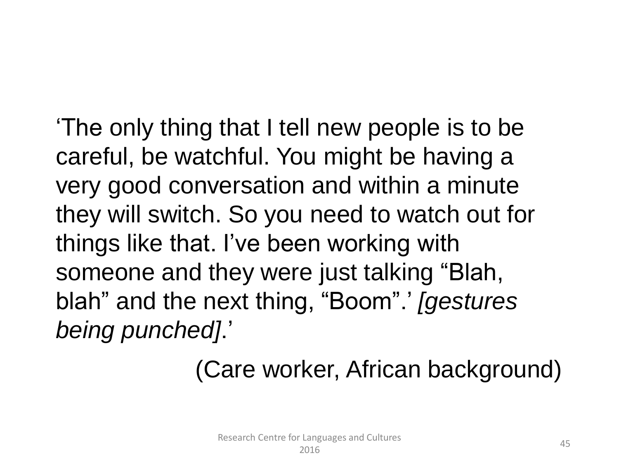'The only thing that I tell new people is to be careful, be watchful. You might be having a very good conversation and within a minute they will switch. So you need to watch out for things like that. I've been working with someone and they were just talking "Blah, blah" and the next thing, "Boom".' *[gestures being punched]*.'

#### (Care worker, African background)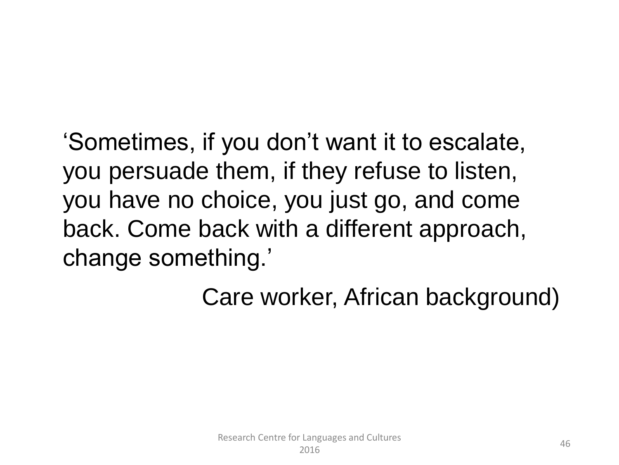'Sometimes, if you don't want it to escalate, you persuade them, if they refuse to listen, you have no choice, you just go, and come back. Come back with a different approach, change something.'

Care worker, African background)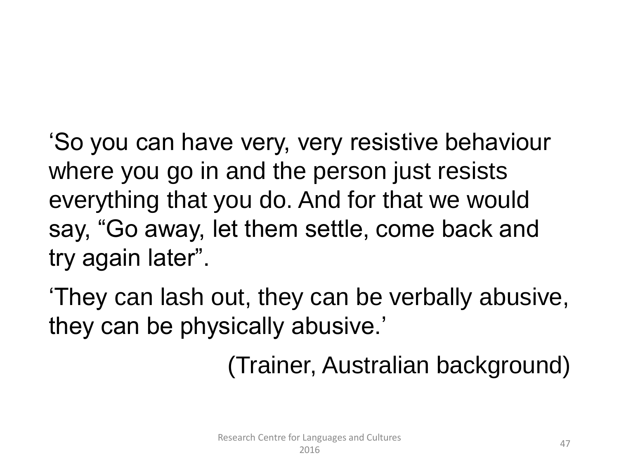'So you can have very, very resistive behaviour where you go in and the person just resists everything that you do. And for that we would say, "Go away, let them settle, come back and try again later".

'They can lash out, they can be verbally abusive, they can be physically abusive.'

(Trainer, Australian background)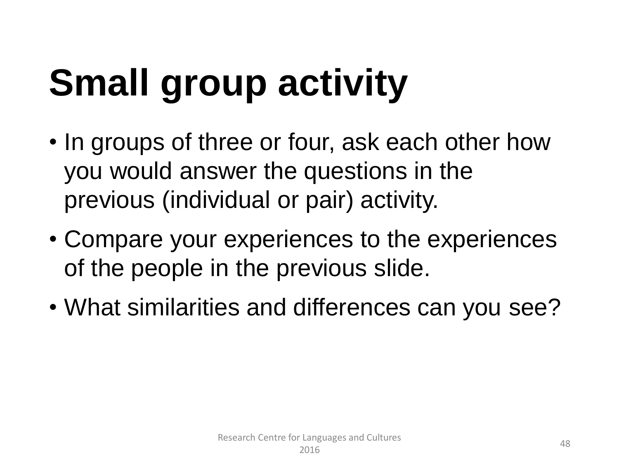### **Small group activity**

- In groups of three or four, ask each other how you would answer the questions in the previous (individual or pair) activity.
- Compare your experiences to the experiences of the people in the previous slide.
- What similarities and differences can you see?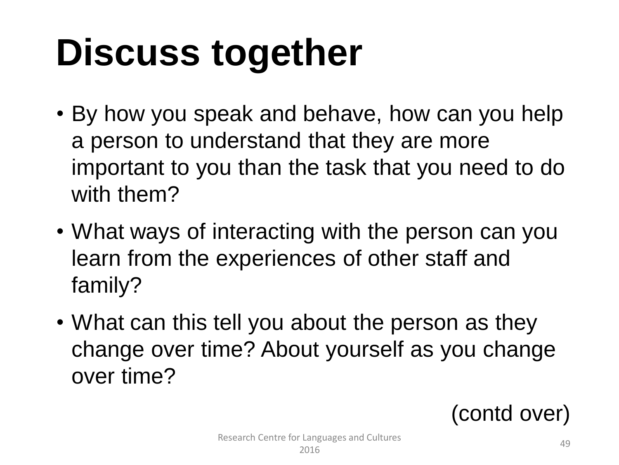### **Discuss together**

- By how you speak and behave, how can you help a person to understand that they are more important to you than the task that you need to do with them?
- What ways of interacting with the person can you learn from the experiences of other staff and family?
- What can this tell you about the person as they change over time? About yourself as you change over time?

(contd over)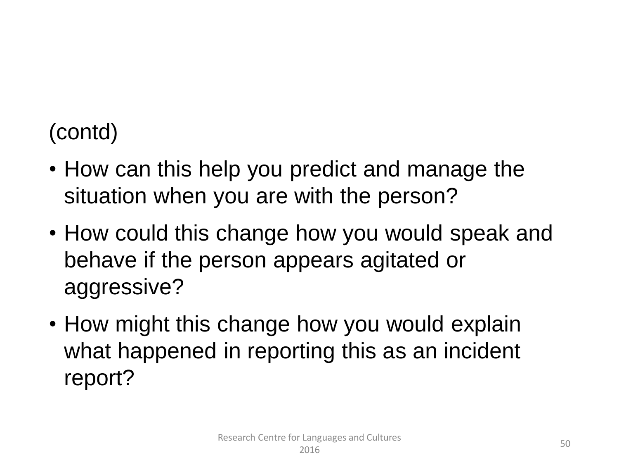#### (contd)

- How can this help you predict and manage the situation when you are with the person?
- How could this change how you would speak and behave if the person appears agitated or aggressive?
- How might this change how you would explain what happened in reporting this as an incident report?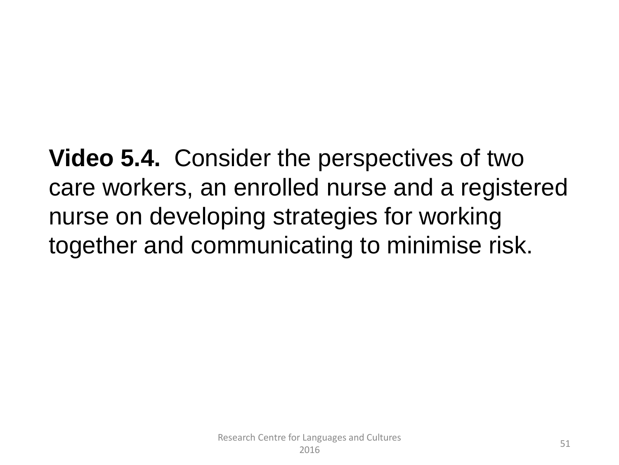**Video 5.4.** Consider the perspectives of two care workers, an enrolled nurse and a registered nurse on developing strategies for working together and communicating to minimise risk.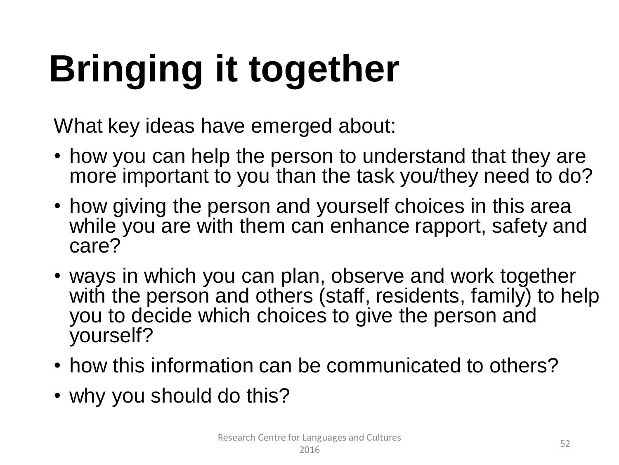# **Bringing it together**

What key ideas have emerged about:

- how you can help the person to understand that they are more important to you than the task you/they need to do?
- how giving the person and yourself choices in this area while you are with them can enhance rapport, safety and care?
- ways in which you can plan, observe and work together with the person and others (staff, residents, family) to help you to decide which choices to give the person and yourself?
- how this information can be communicated to others?
- why you should do this?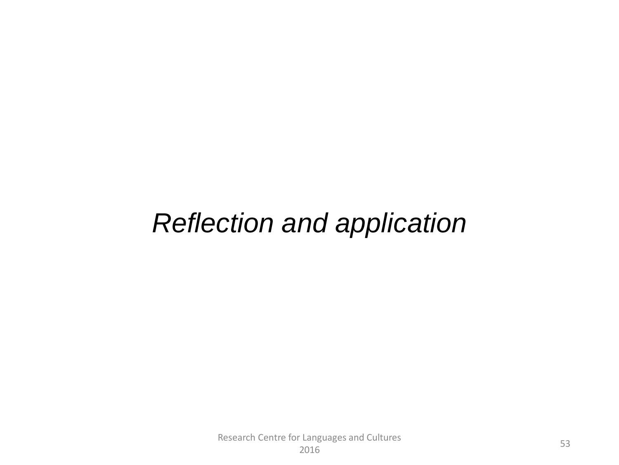#### *Reflection and application*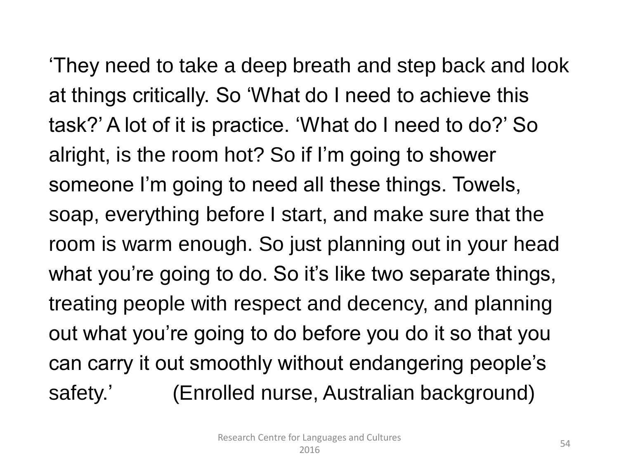'They need to take a deep breath and step back and look at things critically. So 'What do I need to achieve this task?' A lot of it is practice. 'What do I need to do?' So alright, is the room hot? So if I'm going to shower someone I'm going to need all these things. Towels, soap, everything before I start, and make sure that the room is warm enough. So just planning out in your head what you're going to do. So it's like two separate things, treating people with respect and decency, and planning out what you're going to do before you do it so that you can carry it out smoothly without endangering people's safety.' (Enrolled nurse, Australian background)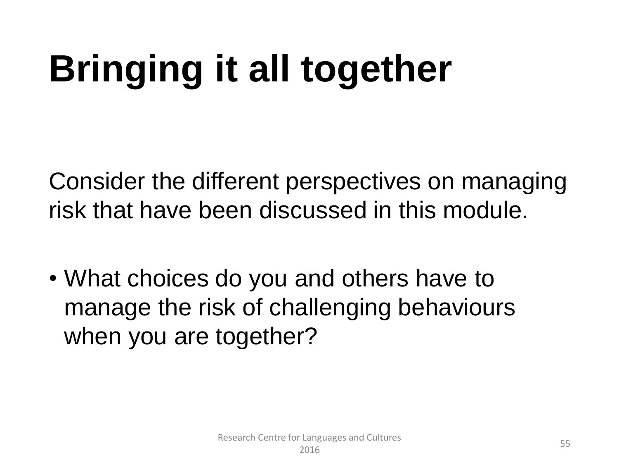### **Bringing it all together**

Consider the different perspectives on managing risk that have been discussed in this module.

• What choices do you and others have to manage the risk of challenging behaviours when you are together?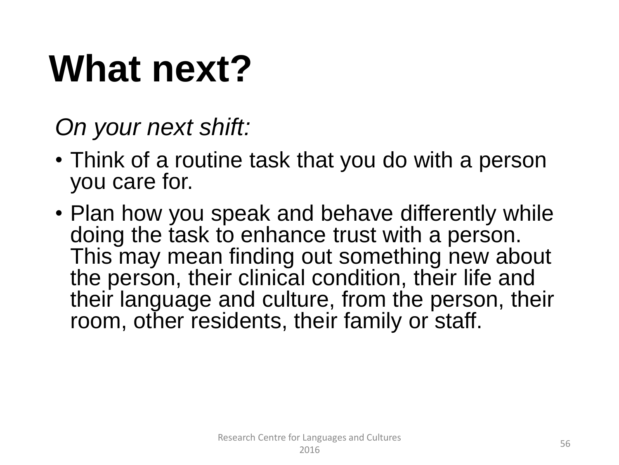### **What next?**

*On your next shift:*

- Think of a routine task that you do with a person you care for.
- Plan how you speak and behave differently while doing the task to enhance trust with a person. This may mean finding out something new about the person, their clinical condition, their life and their language and culture, from the person, their room, other residents, their family or staff.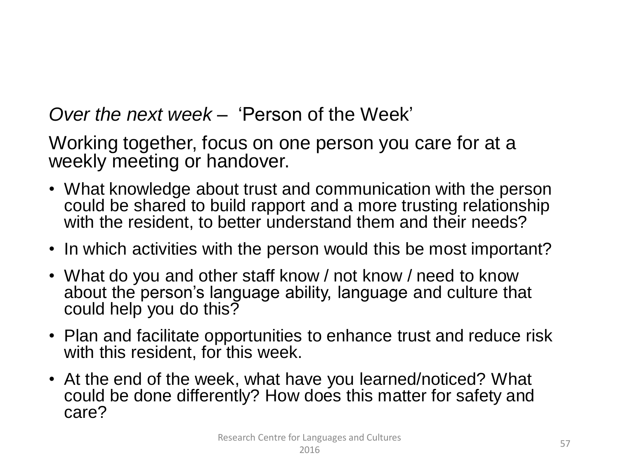*Over the next week –* 'Person of the Week'

Working together, focus on one person you care for at a weekly meeting or handover.

- What knowledge about trust and communication with the person could be shared to build rapport and a more trusting relationship with the resident, to better understand them and their needs?
- In which activities with the person would this be most important?
- What do you and other staff know / not know / need to know about the person's language ability, language and culture that could help you do this?
- Plan and facilitate opportunities to enhance trust and reduce risk with this resident, for this week.
- At the end of the week, what have you learned/noticed? What could be done differently? How does this matter for safety and care?